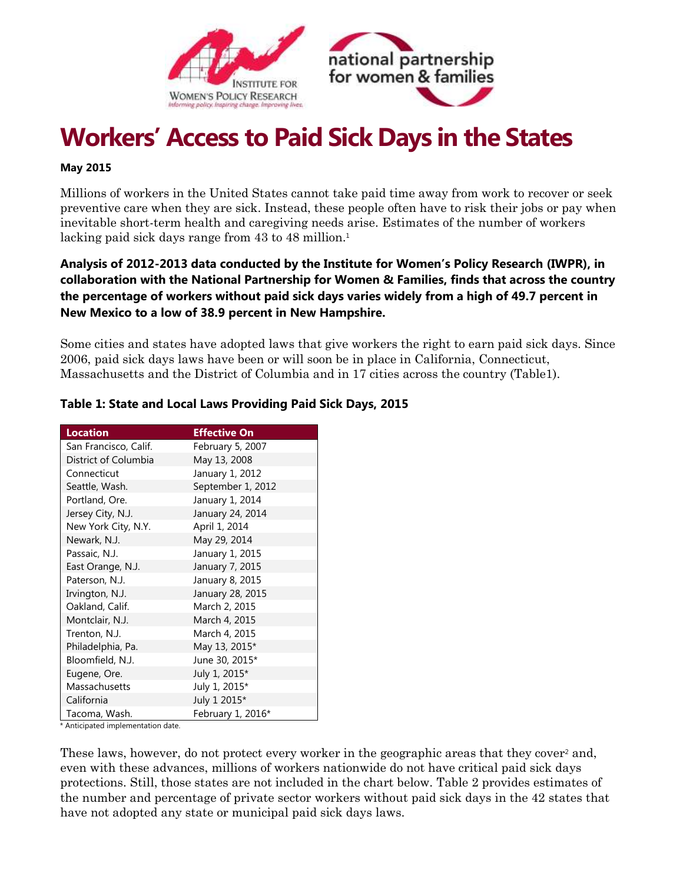



# **Workers' Access to Paid Sick Days in the States**

#### **May 2015**

Millions of workers in the United States cannot take paid time away from work to recover or seek preventive care when they are sick. Instead, these people often have to risk their jobs or pay when inevitable short-term health and caregiving needs arise. Estimates of the number of workers lacking paid sick days range from 43 to 48 million.<sup>1</sup>

## **Analysis of 2012-2013 data conducted by the Institute for Women's Policy Research (IWPR), in collaboration with the National Partnership for Women & Families, finds that across the country the percentage of workers without paid sick days varies widely from a high of 49.7 percent in New Mexico to a low of 38.9 percent in New Hampshire.**

Some cities and states have adopted laws that give workers the right to earn paid sick days. Since 2006, paid sick days laws have been or will soon be in place in California, Connecticut, Massachusetts and the District of Columbia and in 17 cities across the country (Table1).

| <b>Location</b>                      | <b>Effective On</b> |  |
|--------------------------------------|---------------------|--|
| San Francisco, Calif.                | February 5, 2007    |  |
| District of Columbia<br>May 13, 2008 |                     |  |
| Connecticut                          | January 1, 2012     |  |
| Seattle, Wash.                       | September 1, 2012   |  |
| Portland, Ore.                       | January 1, 2014     |  |
| Jersey City, N.J.                    | January 24, 2014    |  |
| New York City, N.Y.                  | April 1, 2014       |  |
| Newark, N.J.                         | May 29, 2014        |  |
| Passaic, N.J.                        | January 1, 2015     |  |
| East Orange, N.J.                    | January 7, 2015     |  |
| Paterson, N.J.                       | January 8, 2015     |  |
| Irvington, N.J.                      | January 28, 2015    |  |
| Oakland, Calif.                      | March 2, 2015       |  |
| Montclair, N.J.                      | March 4, 2015       |  |
| Trenton, N.J.                        | March 4, 2015       |  |
| Philadelphia, Pa.                    | May 13, 2015*       |  |
| Bloomfield, N.J.                     | June 30, 2015*      |  |
| Eugene, Ore.                         | July 1, 2015*       |  |
| Massachusetts                        | July 1, 2015*       |  |
| California                           | July 1 2015*        |  |
| Tacoma, Wash.                        | February 1, 2016*   |  |

### **Table 1: State and Local Laws Providing Paid Sick Days, 2015**

\* Anticipated implementation date.

These laws, however, do not protect every worker in the geographic areas that they cover<sup>2</sup> and, even with these advances, millions of workers nationwide do not have critical paid sick days protections. Still, those states are not included in the chart below. Table 2 provides estimates of the number and percentage of private sector workers without paid sick days in the 42 states that have not adopted any state or municipal paid sick days laws.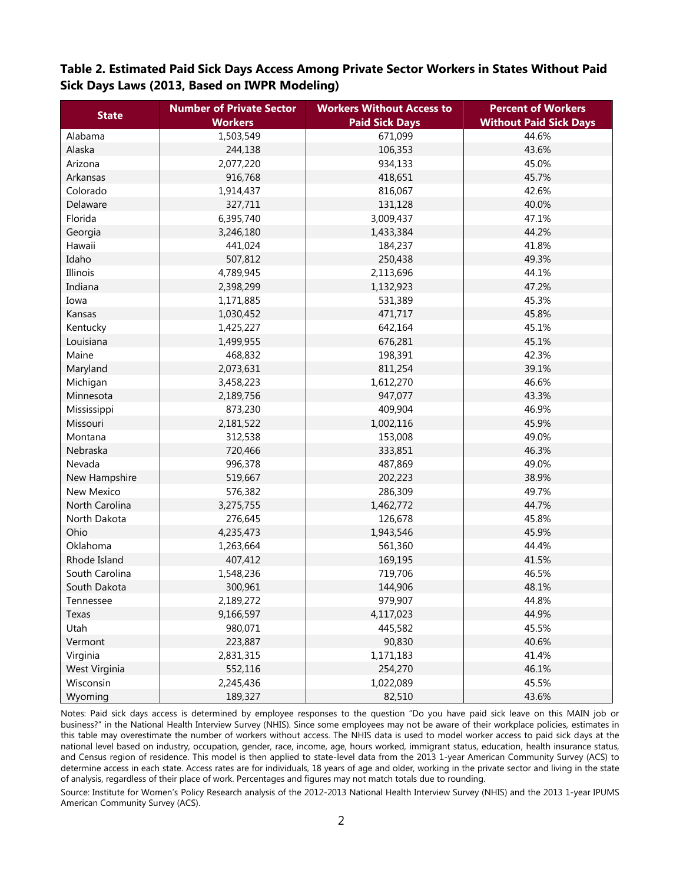**Table 2. Estimated Paid Sick Days Access Among Private Sector Workers in States Without Paid Sick Days Laws (2013, Based on IWPR Modeling)**

| <b>State</b>      | <b>Number of Private Sector</b> | <b>Workers Without Access to</b> | <b>Percent of Workers</b>     |
|-------------------|---------------------------------|----------------------------------|-------------------------------|
|                   | <b>Workers</b>                  | <b>Paid Sick Days</b>            | <b>Without Paid Sick Days</b> |
| Alabama           | 1,503,549                       | 671,099                          | 44.6%                         |
| Alaska            | 244,138                         | 106,353                          | 43.6%                         |
| Arizona           | 2,077,220                       | 934,133                          | 45.0%                         |
| Arkansas          | 916,768                         | 418,651                          | 45.7%                         |
| Colorado          | 1,914,437                       | 816,067                          | 42.6%                         |
| Delaware          | 327,711                         | 131,128                          | 40.0%                         |
| Florida           | 6,395,740                       | 3,009,437                        | 47.1%                         |
| Georgia           | 3,246,180                       | 1,433,384                        | 44.2%                         |
| Hawaii            | 441,024                         | 184,237                          | 41.8%                         |
| Idaho             | 507,812                         | 250,438                          | 49.3%                         |
| Illinois          | 4,789,945                       | 2,113,696                        | 44.1%                         |
| Indiana           | 2,398,299                       | 1,132,923                        | 47.2%                         |
| Iowa              | 1,171,885                       | 531,389                          | 45.3%                         |
| Kansas            | 1,030,452                       | 471,717                          | 45.8%                         |
| Kentucky          | 1,425,227                       | 642,164                          | 45.1%                         |
| Louisiana         | 1,499,955                       | 676,281                          | 45.1%                         |
| Maine             | 468,832                         | 198,391                          | 42.3%                         |
| Maryland          | 2,073,631                       | 811,254                          | 39.1%                         |
| Michigan          | 3,458,223                       | 1,612,270                        | 46.6%                         |
| Minnesota         | 2,189,756                       | 947,077                          | 43.3%                         |
| Mississippi       | 873,230                         | 409,904                          | 46.9%                         |
| Missouri          | 2,181,522                       | 1,002,116                        | 45.9%                         |
| Montana           | 312,538                         | 153,008                          | 49.0%                         |
| Nebraska          | 720,466                         | 333,851                          | 46.3%                         |
| Nevada            | 996,378                         | 487,869                          | 49.0%                         |
| New Hampshire     | 519,667                         | 202,223                          | 38.9%                         |
| <b>New Mexico</b> | 576,382                         | 286,309                          | 49.7%                         |
| North Carolina    | 3,275,755                       | 1,462,772                        | 44.7%                         |
| North Dakota      | 276,645                         | 126,678                          | 45.8%                         |
| Ohio              | 4,235,473                       | 1,943,546                        | 45.9%                         |
| Oklahoma          | 1,263,664                       | 561,360                          | 44.4%                         |
| Rhode Island      | 407,412                         | 169,195                          | 41.5%                         |
| South Carolina    | 1,548,236                       | 719,706                          | 46.5%                         |
| South Dakota      | 300,961                         | 144,906                          | 48.1%                         |
| Tennessee         | 2,189,272                       | 979,907                          | 44.8%                         |
| Texas             | 9,166,597                       | 4,117,023                        | 44.9%                         |
| Utah              | 980,071                         | 445,582                          | 45.5%                         |
| Vermont           | 223,887                         | 90,830                           | 40.6%                         |
| Virginia          | 2,831,315                       | 1,171,183                        | 41.4%                         |
| West Virginia     | 552,116                         | 254,270                          | 46.1%                         |
| Wisconsin         | 2,245,436                       | 1,022,089                        | 45.5%                         |
| Wyoming           | 189,327                         | 82,510                           | 43.6%                         |

Notes: Paid sick days access is determined by employee responses to the question "Do you have paid sick leave on this MAIN job or business?" in the National Health Interview Survey (NHIS). Since some employees may not be aware of their workplace policies, estimates in this table may overestimate the number of workers without access. The NHIS data is used to model worker access to paid sick days at the national level based on industry, occupation, gender, race, income, age, hours worked, immigrant status, education, health insurance status, and Census region of residence. This model is then applied to state-level data from the 2013 1-year American Community Survey (ACS) to determine access in each state. Access rates are for individuals, 18 years of age and older, working in the private sector and living in the state of analysis, regardless of their place of work. Percentages and figures may not match totals due to rounding.

Source: Institute for Women's Policy Research analysis of the 2012-2013 National Health Interview Survey (NHIS) and the 2013 1-year IPUMS American Community Survey (ACS).